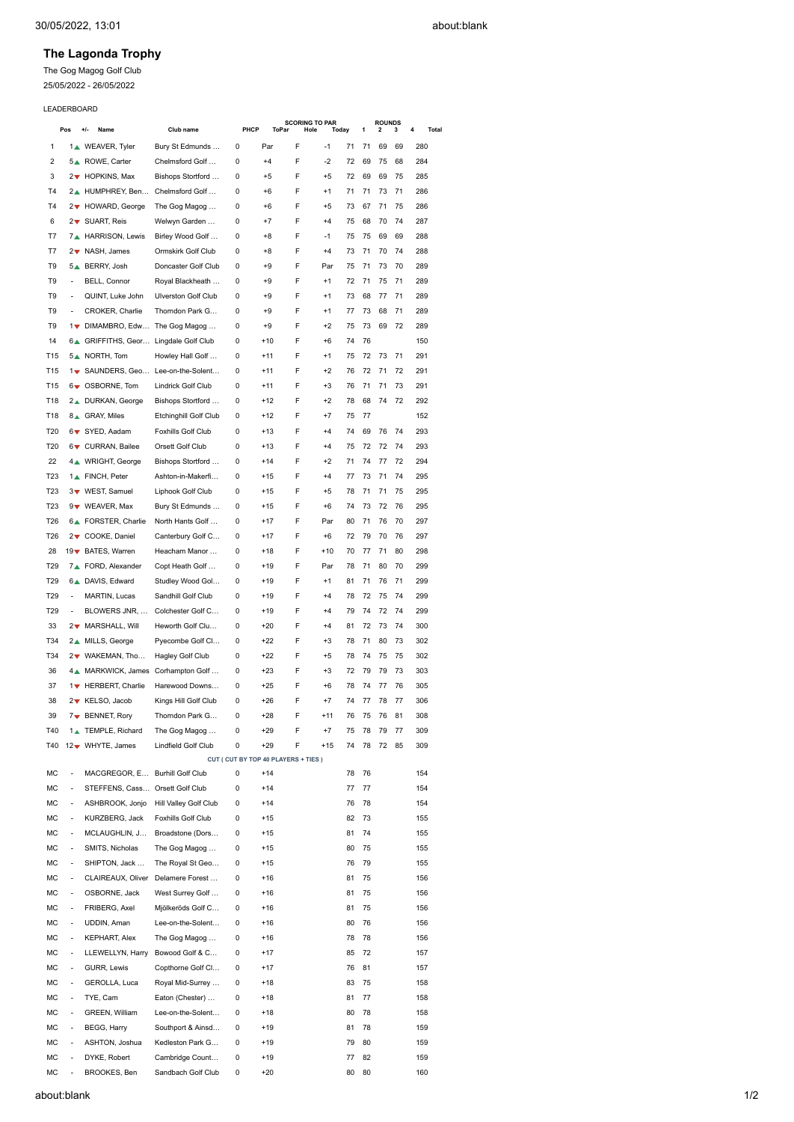## **The Lagonda Trophy**

The Gog Magog Golf Club

25/05/2022 - 26/05/2022

## LEADERBOARD

|                 | Pos                      | +/-<br>Name                          | Club name                              | PHCP   | <b>ToPar</b>   | <b>SCORING TO PAR</b><br>Hole             | Today       |          | 1  | <b>ROUNDS</b><br>2 | 3  | 4<br><b>Total</b> |  |
|-----------------|--------------------------|--------------------------------------|----------------------------------------|--------|----------------|-------------------------------------------|-------------|----------|----|--------------------|----|-------------------|--|
| 1               |                          | 1. WEAVER, Tyler                     | Bury St Edmunds                        | 0      | Par            | F                                         | $-1$        | 71       | 71 | 69                 | 69 | 280               |  |
| $\overline{2}$  |                          | 5 <sup>A</sup> ROWE, Carter          | Chelmsford Golf                        | 0      | $+4$           | F                                         | $-2$        | 72       | 69 | 75                 | 68 | 284               |  |
| 3               |                          | 2 THOPKINS, Max                      | Bishops Stortford                      | 0      | $+5$           | F                                         | $+5$        | 72       | 69 | 69                 | 75 | 285               |  |
| <b>T4</b>       |                          | 2 <sup>A</sup> HUMPHREY, Ben         | Chelmsford Golf                        | 0      | $+6$           | F                                         | $+1$        | 71       | 71 | 73                 | 71 | 286               |  |
| T4              |                          | 2▼ HOWARD, George                    | The Gog Magog                          | 0      | $+6$           | F                                         | $+5$        | 73       | 67 | 71                 | 75 | 286               |  |
| 6               |                          | 2 ▼ SUART, Reis                      | Welwyn Garden                          | 0      | $+7$           | F                                         | $+4$        | 75       | 68 | 70                 | 74 | 287               |  |
| T7              |                          | 7▲ HARRISON, Lewis                   | Birley Wood Golf                       | 0      | $+8$           | F                                         | $-1$        | 75       | 75 | 69                 | 69 | 288               |  |
| T7              |                          | 2▼ NASH, James                       | Ormskirk Golf Club                     | 0      | $+8$           | F                                         | $+4$        | 73       | 71 | 70                 | 74 | 288               |  |
| T9              |                          | 5▲ BERRY, Josh                       | Doncaster Golf Club                    | 0      | $+9$           | F                                         | Par         | 75       | 71 | 73                 | 70 | 289               |  |
| T9              | $\overline{a}$           | BELL, Connor                         | Royal Blackheath                       | 0      | $+9$           | F                                         | $+1$        | 72       | 71 | 75                 | 71 | 289               |  |
| T9              |                          | QUINT, Luke John                     | <b>Ulverston Golf Club</b>             | 0      | $+9$           | F                                         | $+1$        | 73       | 68 | 77                 | 71 | 289               |  |
| T9              | $\overline{a}$           | CROKER, Charlie                      | Thorndon Park G                        | 0      | $+9$           | F                                         | $+1$        | 77       | 73 | 68                 | 71 | 289               |  |
| T9              |                          | 1 DIMAMBRO, Edw                      | The Gog Magog                          | 0      | $+9$           | F                                         | $+2$        | 75       | 73 | 69                 | 72 | 289               |  |
| 14              |                          | 6 GRIFFITHS, Geor Lingdale Golf Club |                                        | 0      | $+10$          | F                                         | $+6$        | 74       | 76 |                    |    | 150               |  |
| T15             |                          | 5. NORTH, Tom                        | Howley Hall Golf                       | 0      | $+11$          | F                                         | $+1$        | 75       | 72 | 73                 | 71 | 291               |  |
| T15             |                          | 1 SAUNDERS, Geo                      | Lee-on-the-Solent                      | 0      | $+11$          | F                                         | $+2$        | 76       | 72 | 71                 | 72 | 291               |  |
| T15             |                          | 6▼ OSBORNE, Tom                      | Lindrick Golf Club                     | 0      | $+11$          | F                                         | $+3$        | 76       | 71 | 71                 | 73 | 291               |  |
| T18             |                          | 2 <sup>1</sup> DURKAN, George        | Bishops Stortford                      | 0      | $+12$          | F                                         | $+2$        | 78       | 68 | 74                 | 72 | 292               |  |
| T18             |                          | 8 GRAY, Miles                        | <b>Etchinghill Golf Club</b>           | 0      | $+12$          | F                                         | $+7$        | 75       | 77 |                    |    | 152               |  |
| T20             |                          | 6 V SYED, Aadam                      | Foxhills Golf Club                     | 0      | $+13$          | F                                         | $+4$        | 74       | 69 | 76                 | 74 | 293               |  |
| T <sub>20</sub> |                          | 6 <del>v</del> CURRAN, Bailee        | Orsett Golf Club                       | 0      | $+13$          | F                                         | $+4$        | 75       | 72 | 72                 | 74 | 293               |  |
| 22              |                          | 4 WRIGHT, George                     | Bishops Stortford                      | 0      | $+14$          | F                                         | $+2$        | 71       | 74 | 77                 | 72 | 294               |  |
| T <sub>23</sub> |                          | 1 <sup>A</sup> FINCH, Peter          | Ashton-in-Makerfi                      | 0      | $+15$          | F                                         | $+4$        | 77       | 73 | 71                 | 74 | 295               |  |
| T23             |                          | 3 ▼ WEST, Samuel                     | Liphook Golf Club                      | 0      | $+15$          | F                                         | $+5$        | 78       | 71 | 71                 | 75 | 295               |  |
| T <sub>23</sub> |                          | 9 VEAVER, Max                        | Bury St Edmunds                        | 0      | $+15$          | F                                         | $+6$        | 74       | 73 | 72                 | 76 | 295               |  |
| T26             |                          | 6 <sup>A</sup> FORSTER, Charlie      | North Hants Golf                       | 0      | $+17$          | F                                         | Par         | 80       | 71 | 76                 | 70 | 297               |  |
| T26             |                          | 2▼ COOKE, Daniel                     | Canterbury Golf C                      | 0      | $+17$          | F                                         | $+6$        | 72       | 79 | 70                 | 76 | 297               |  |
|                 |                          |                                      |                                        |        |                | F                                         |             |          | 77 | 71                 | 80 |                   |  |
| 28<br>T29       |                          | 19 ▼ BATES, Warren                   | Heacham Manor                          | 0      | $+18$          | F                                         | $+10$       | 70       | 71 | 80                 | 70 | 298<br>299        |  |
| T29             |                          | 7▲ FORD, Alexander                   | Copt Heath Golf                        | 0      | $+19$<br>$+19$ | F                                         | Par<br>$+1$ | 78<br>81 | 71 | 76                 | 71 | 299               |  |
| T29             | $\overline{a}$           | 6 <sup>A</sup> DAVIS, Edward         | Studley Wood Gol<br>Sandhill Golf Club | 0<br>0 | $+19$          | F                                         | $+4$        | 78       | 72 | 75                 | 74 | 299               |  |
|                 |                          | MARTIN, Lucas                        |                                        |        |                | F                                         |             |          |    |                    |    |                   |  |
| T29             |                          | BLOWERS JNR,<br>2▼ MARSHALL, Will    | Colchester Golf C                      | 0      | $+19$          | F                                         | $+4$        | 79       | 74 | 72<br>73           | 74 | 299               |  |
| 33              |                          |                                      | Heworth Golf Clu                       | 0      | $+20$          |                                           | $+4$        | 81       | 72 |                    | 74 | 300               |  |
| T34             |                          | 2▲ MILLS, George                     | Pyecombe Golf Cl                       | 0      | $+22$          | F                                         | $+3$        | 78       | 71 | 80                 | 73 | 302               |  |
| T34             |                          | 2▼ WAKEMAN, Tho                      | <b>Hagley Golf Club</b>                | 0      | $+22$          | F                                         | $+5$        | 78       | 74 | 75                 | 75 | 302               |  |
| 36              |                          | 4 MARKWICK, James                    | Corhampton Golf                        | 0      | $+23$          | F                                         | $+3$        | 72       | 79 | 79                 | 73 | 303               |  |
| 37              |                          | 1 HERBERT, Charlie                   | Harewood Downs                         | 0      | $+25$          | F                                         | $+6$        | 78       | 74 | 77                 | 76 | 305               |  |
| 38              |                          | 2▼ KELSO, Jacob                      | Kings Hill Golf Club                   | 0      | $+26$          | F                                         | $+7$        | 74       | 77 | 78                 | 77 | 306               |  |
| 39              |                          | 7▼ BENNET, Rory                      | Thorndon Park G                        | 0      | $+28$          | F                                         | +11         | 76       | 75 | 76                 | 81 | 308               |  |
| T40             |                          | 1 <sup>A</sup> TEMPLE, Richard       | The Gog Magog                          | 0      | $+29$          | F                                         | $+7$        | 75       | 78 | 79                 | 77 | 309               |  |
| T40             |                          | 12 ▼ WHYTE, James                    | Lindfield Golf Club                    | 0      | $+29$          | F<br>CUT ( CUT BY TOP 40 PLAYERS + TIES ) | $+15$       | 74       | 78 | 72                 | 85 | 309               |  |
| МC              | $\overline{\phantom{a}}$ | MACGREGOR, E                         | <b>Burhill Golf Club</b>               | 0      | $+14$          |                                           |             | 78       | 76 |                    |    | 154               |  |
| МC              | $\overline{a}$           | STEFFENS, Cass Orsett Golf Club      |                                        | 0      | $+14$          |                                           |             | 77       | 77 |                    |    | 154               |  |
| МC              | $\overline{a}$           | ASHBROOK, Jonjo                      | Hill Valley Golf Club                  | 0      | $+14$          |                                           |             | 76       | 78 |                    |    | 154               |  |
| МC              | $\overline{a}$           | KURZBERG, Jack                       | Foxhills Golf Club                     | 0      | $+15$          |                                           |             | 82       | 73 |                    |    | 155               |  |
| МC              | $\overline{a}$           | MCLAUGHLIN, J                        | Broadstone (Dors                       | 0      | $+15$          |                                           |             | 81       | 74 |                    |    | 155               |  |
| МC              | $\overline{a}$           | SMITS, Nicholas                      | The Gog Magog                          | 0      | $+15$          |                                           |             | 80       | 75 |                    |    | 155               |  |
| МC              | $\overline{a}$           | SHIPTON, Jack                        | The Royal St Geo                       | 0      | +15            |                                           |             | 76       | 79 |                    |    | 155               |  |
| МC              | $\overline{a}$           | CLAIREAUX, Oliver                    | Delamere Forest                        | 0      | $+16$          |                                           |             | 81       | 75 |                    |    | 156               |  |
| МC              | $\overline{\phantom{a}}$ | OSBORNE, Jack                        | West Surrey Golf                       | 0      | +16            |                                           |             | 81       | 75 |                    |    | 156               |  |
| МC              | $\overline{a}$           | FRIBERG, Axel                        | Mjölkeröds Golf C                      | 0      | $+16$          |                                           |             | 81       | 75 |                    |    | 156               |  |
| МC              | $\overline{a}$           | UDDIN, Aman                          | Lee-on-the-Solent                      | 0      | +16            |                                           |             | 80       | 76 |                    |    | 156               |  |
| МC              | $\overline{a}$           | <b>KEPHART, Alex</b>                 | The Gog Magog                          | 0      | $+16$          |                                           |             | 78       | 78 |                    |    | 156               |  |
| МC              | $\overline{a}$           | LLEWELLYN, Harry                     | Bowood Golf & C                        | 0      | $+17$          |                                           |             | 85       | 72 |                    |    | 157               |  |
| МC              | $\overline{a}$           | GURR, Lewis                          | Copthorne Golf Cl                      | 0      | $+17$          |                                           |             | 76       | 81 |                    |    | 157               |  |
| МC              | $\overline{a}$           | GEROLLA, Luca                        | Royal Mid-Surrey                       | 0      | +18            |                                           |             | 83       | 75 |                    |    | 158               |  |
| МC              | $\overline{a}$           | TYE, Cam                             | Eaton (Chester)                        | 0      | $+18$          |                                           |             | 81       | 77 |                    |    | 158               |  |
| МC              | $\overline{\phantom{a}}$ | GREEN, William                       | Lee-on-the-Solent                      | 0      | $+18$          |                                           |             | 80       | 78 |                    |    | 158               |  |
| МC              | $\overline{a}$           | BEGG, Harry                          | Southport & Ainsd                      | 0      | $+19$          |                                           |             | 81       | 78 |                    |    | 159               |  |
| МC              | $\overline{a}$           | ASHTON, Joshua                       | Kedleston Park G                       | 0      | $+19$          |                                           |             | 79       | 80 |                    |    | 159               |  |
| МC              |                          | DYKE, Robert                         | Cambridge Count                        | 0      | $+19$          |                                           |             | 77       | 82 |                    |    | 159               |  |
| МC              | $\overline{a}$           | BROOKES, Ben                         | Sandbach Golf Club                     | 0      | $+20$          |                                           |             | 80       | 80 |                    |    | 160               |  |
|                 |                          |                                      |                                        |        |                |                                           |             |          |    |                    |    |                   |  |